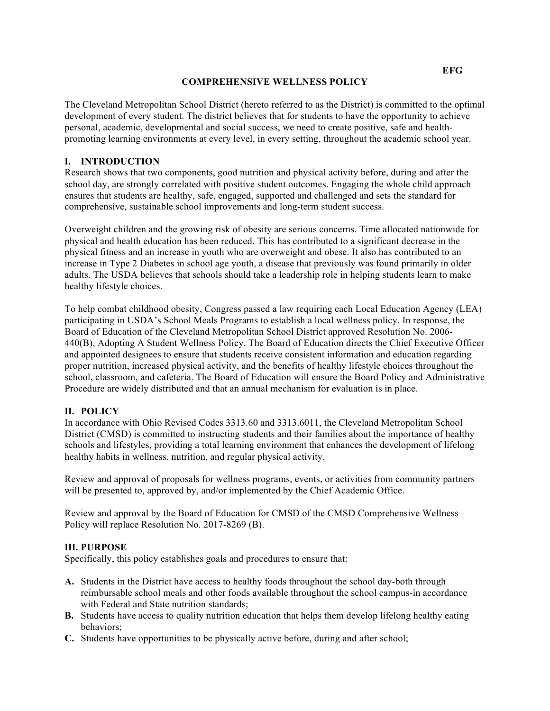### **COMPREHENSIVE WELLNESS POLICY**

 The Cleveland Metropolitan School District (hereto referred to as the District) is committed to the optimal development of every student. The district believes that for students to have the opportunity to achieve personal, academic, developmental and social success, we need to create positive, safe and health-promoting learning environments at every level, in every setting, throughout the academic school year.

# **I. INTRODUCTION**

 Research shows that two components, good nutrition and physical activity before, during and after the school day, are strongly correlated with positive student outcomes. Engaging the whole child approach ensures that students are healthy, safe, engaged, supported and challenged and sets the standard for comprehensive, sustainable school improvements and long-term student success.

 Overweight children and the growing risk of obesity are serious concerns. Time allocated nationwide for physical and health education has been reduced. This has contributed to a significant decrease in the physical fitness and an increase in youth who are overweight and obese. It also has contributed to an adults. The USDA believes that schools should take a leadership role in helping students learn to make increase in Type 2 Diabetes in school age youth, a disease that previously was found primarily in older healthy lifestyle choices.

 To help combat childhood obesity, Congress passed a law requiring each Local Education Agency (LEA) participating in USDA's School Meals Programs to establish a local wellness policy. In response, the Board of Education of the Cleveland Metropolitan School District approved Resolution No. 2006- 440(B), Adopting A Student Wellness Policy. The Board of Education directs the Chief Executive Officer and appointed designees to ensure that students receive consistent information and education regarding proper nutrition, increased physical activity, and the benefits of healthy lifestyle choices throughout the school, classroom, and cafeteria. The Board of Education will ensure the Board Policy and Administrative Procedure are widely distributed and that an annual mechanism for evaluation is in place.

## **II. POLICY**

 In accordance with Ohio Revised Codes 3313.60 and 3313.6011, the Cleveland Metropolitan School District (CMSD) is committed to instructing students and their families about the importance of healthy schools and lifestyles, providing a total learning environment that enhances the development of lifelong healthy habits in wellness, nutrition, and regular physical activity.

 Review and approval of proposals for wellness programs, events, or activities from community partners will be presented to, approved by, and/or implemented by the Chief Academic Office.

 Review and approval by the Board of Education for CMSD of the CMSD Comprehensive Wellness Policy will replace Resolution No. 2017-8269 (B).

## **III. PURPOSE**

Specifically, this policy establishes goals and procedures to ensure that:

- **A.** Students in the District have access to healthy foods throughout the school day-both through reimbursable school meals and other foods available throughout the school campus-in accordance with Federal and State nutrition standards;
- **B.** Students have access to quality nutrition education that helps them develop lifelong healthy eating behaviors;
- **C.** Students have opportunities to be physically active before, during and after school;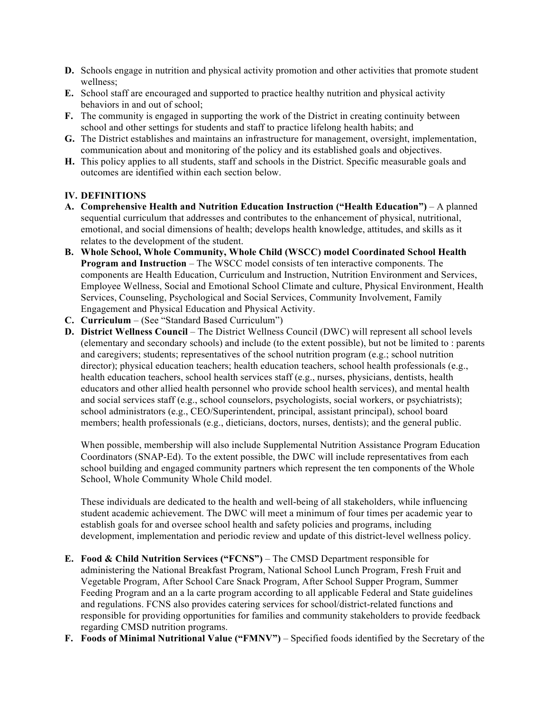- **D.** Schools engage in nutrition and physical activity promotion and other activities that promote student wellness;
- **E.** School staff are encouraged and supported to practice healthy nutrition and physical activity behaviors in and out of school;
- **F.** The community is engaged in supporting the work of the District in creating continuity between school and other settings for students and staff to practice lifelong health habits; and
- **G.** The District establishes and maintains an infrastructure for management, oversight, implementation, communication about and monitoring of the policy and its established goals and objectives.
- **H.** This policy applies to all students, staff and schools in the District. Specific measurable goals and outcomes are identified within each section below.

## **IV. DEFINITIONS**

- **A. Comprehensive Health and Nutrition Education Instruction ("Health Education")**  A planned sequential curriculum that addresses and contributes to the enhancement of physical, nutritional, emotional, and social dimensions of health; develops health knowledge, attitudes, and skills as it relates to the development of the student.
- **B. Whole School, Whole Community, Whole Child (WSCC) model Coordinated School Health Program and Instruction** – The WSCC model consists of ten interactive components. The components are Health Education, Curriculum and Instruction, Nutrition Environment and Services, Employee Wellness, Social and Emotional School Climate and culture, Physical Environment, Health Services, Counseling, Psychological and Social Services, Community Involvement, Family Engagement and Physical Education and Physical Activity.
- **C. Curriculum**  (See "Standard Based Curriculum")
- **D. District Wellness Council**  The District Wellness Council (DWC) will represent all school levels (elementary and secondary schools) and include (to the extent possible), but not be limited to : parents and caregivers; students; representatives of the school nutrition program (e.g.; school nutrition director); physical education teachers; health education teachers, school health professionals (e.g., health education teachers, school health services staff (e.g., nurses, physicians, dentists, health educators and other allied health personnel who provide school health services), and mental health and social services staff (e.g., school counselors, psychologists, social workers, or psychiatrists); school administrators (e.g., CEO/Superintendent, principal, assistant principal), school board members; health professionals (e.g., dieticians, doctors, nurses, dentists); and the general public.

 When possible, membership will also include Supplemental Nutrition Assistance Program Education Coordinators (SNAP-Ed). To the extent possible, the DWC will include representatives from each school building and engaged community partners which represent the ten components of the Whole School, Whole Community Whole Child model.

 These individuals are dedicated to the health and well-being of all stakeholders, while influencing student academic achievement. The DWC will meet a minimum of four times per academic year to establish goals for and oversee school health and safety policies and programs, including development, implementation and periodic review and update of this district-level wellness policy.

- **E. Food & Child Nutrition Services ("FCNS")**  The CMSD Department responsible for administering the National Breakfast Program, National School Lunch Program, Fresh Fruit and Vegetable Program, After School Care Snack Program, After School Supper Program, Summer Feeding Program and an a la carte program according to all applicable Federal and State guidelines and regulations. FCNS also provides catering services for school/district-related functions and responsible for providing opportunities for families and community stakeholders to provide feedback regarding CMSD nutrition programs.
- **F. Foods of Minimal Nutritional Value ("FMNV")**  Specified foods identified by the Secretary of the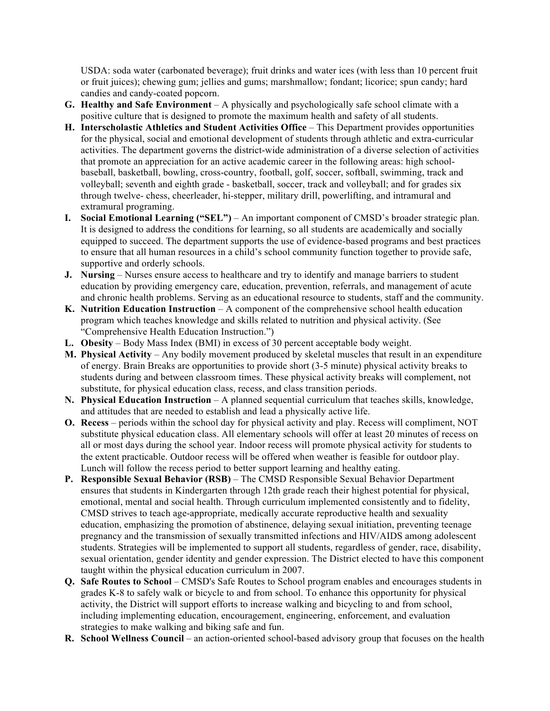USDA: soda water (carbonated beverage); fruit drinks and water ices (with less than 10 percent fruit or fruit juices); chewing gum; jellies and gums; marshmallow; fondant; licorice; spun candy; hard candies and candy-coated popcorn.

- **G. Healthy and Safe Environment**  A physically and psychologically safe school climate with a positive culture that is designed to promote the maximum health and safety of all students.
- **H. Interscholastic Athletics and Student Activities Office**  This Department provides opportunities for the physical, social and emotional development of students through athletic and extra-curricular activities. The department governs the district-wide administration of a diverse selection of activities baseball, basketball, bowling, cross-country, football, golf, soccer, softball, swimming, track and volleyball; seventh and eighth grade - basketball, soccer, track and volleyball; and for grades six through twelve- chess, cheerleader, hi-stepper, military drill, powerlifting, and intramural and that promote an appreciation for an active academic career in the following areas: high schoolextramural programing.
- **I. Social Emotional Learning ("SEL")**  An important component of CMSD's broader strategic plan. It is designed to address the conditions for learning, so all students are academically and socially equipped to succeed. The department supports the use of evidence-based programs and best practices supportive and orderly schools. to ensure that all human resources in a child's school community function together to provide safe,
- **J.** Nursing Nurses ensure access to healthcare and try to identify and manage barriers to student education by providing emergency care, education, prevention, referrals, and management of acute and chronic health problems. Serving as an educational resource to students, staff and the community.
- **K. Nutrition Education Instruction**  A component of the comprehensive school health education program which teaches knowledge and skills related to nutrition and physical activity. (See "Comprehensive Health Education Instruction.")
- **L. Obesity**  Body Mass Index (BMI) in excess of 30 percent acceptable body weight.
- **M. Physical Activity**  Any bodily movement produced by skeletal muscles that result in an expenditure of energy. Brain Breaks are opportunities to provide short (3-5 minute) physical activity breaks to students during and between classroom times. These physical activity breaks will complement, not substitute, for physical education class, recess, and class transition periods.
- **N. Physical Education Instruction**  A planned sequential curriculum that teaches skills, knowledge, and attitudes that are needed to establish and lead a physically active life.
- **O. Recess**  periods within the school day for physical activity and play. Recess will compliment, NOT substitute physical education class. All elementary schools will offer at least 20 minutes of recess on all or most days during the school year. Indoor recess will promote physical activity for students to Lunch will follow the recess period to better support learning and healthy eating. the extent practicable. Outdoor recess will be offered when weather is feasible for outdoor play.
- **P. Responsible Sexual Behavior (RSB)**  The CMSD Responsible Sexual Behavior Department ensures that students in Kindergarten through 12th grade reach their highest potential for physical, emotional, mental and social health. Through curriculum implemented consistently and to fidelity, CMSD strives to teach age-appropriate, medically accurate reproductive health and sexuality education, emphasizing the promotion of abstinence, delaying sexual initiation, preventing teenage students. Strategies will be implemented to support all students, regardless of gender, race, disability, sexual orientation, gender identity and gender expression. The District elected to have this component pregnancy and the transmission of sexually transmitted infections and HIV/AIDS among adolescent taught within the physical education curriculum in 2007.
- **Q. Safe Routes to School**  CMSD's Safe Routes to School program enables and encourages students in grades K-8 to safely walk or bicycle to and from school. To enhance this opportunity for physical activity, the District will support efforts to increase walking and bicycling to and from school, strategies to make walking and biking safe and fun. including implementing education, encouragement, engineering, enforcement, and evaluation
- **R. School Wellness Council**  an action-oriented school-based advisory group that focuses on the health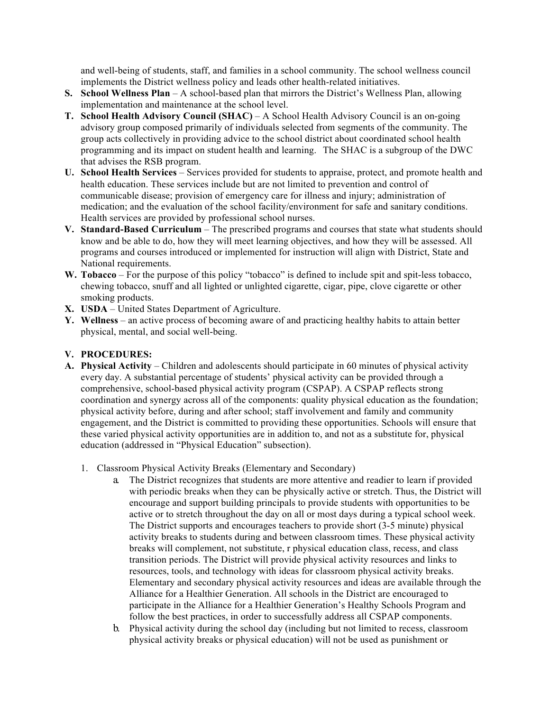and well-being of students, staff, and families in a school community. The school wellness council implements the District wellness policy and leads other health-related initiatives.

- **S. School Wellness Plan**  A school-based plan that mirrors the District's Wellness Plan, allowing implementation and maintenance at the school level.
- **T. School Health Advisory Council (SHAC)**  A School Health Advisory Council is an on-going advisory group composed primarily of individuals selected from segments of the community. The group acts collectively in providing advice to the school district about coordinated school health    programming and its impact on student health and learning. The SHAC is a subgroup of the DWC that advises the RSB program.
- **U. School Health Services**  Services provided for students to appraise, protect, and promote health and health education. These services include but are not limited to prevention and control of communicable disease; provision of emergency care for illness and injury; administration of medication; and the evaluation of the school facility/environment for safe and sanitary conditions. Health services are provided by professional school nurses.
- **V. Standard-Based Curriculum**  The prescribed programs and courses that state what students should know and be able to do, how they will meet learning objectives, and how they will be assessed. All programs and courses introduced or implemented for instruction will align with District, State and National requirements.
- W. Tobacco For the purpose of this policy "tobacco" is defined to include spit and spit-less tobacco, chewing tobacco, snuff and all lighted or unlighted cigarette, cigar, pipe, clove cigarette or other smoking products.
- **X. USDA**  United States Department of Agriculture.
- **Y. Wellness**  an active process of becoming aware of and practicing healthy habits to attain better physical, mental, and social well-being.

### **V. PROCEDURES:**

- **A. Physical Activity**  Children and adolescents should participate in 60 minutes of physical activity every day. A substantial percentage of students' physical activity can be provided through a comprehensive, school-based physical activity program (CSPAP). A CSPAP reflects strong coordination and synergy across all of the components: quality physical education as the foundation; physical activity before, during and after school; staff involvement and family and community engagement, and the District is committed to providing these opportunities. Schools will ensure that education (addressed in "Physical Education" subsection). these varied physical activity opportunities are in addition to, and not as a substitute for, physical
	- 1. Classroom Physical Activity Breaks (Elementary and Secondary)
		- a. The District recognizes that students are more attentive and readier to learn if provided with periodic breaks when they can be physically active or stretch. Thus, the District will encourage and support building principals to provide students with opportunities to be active or to stretch throughout the day on all or most days during a typical school week. The District supports and encourages teachers to provide short (3-5 minute) physical activity breaks to students during and between classroom times. These physical activity breaks will complement, not substitute, r physical education class, recess, and class resources, tools, and technology with ideas for classroom physical activity breaks. Elementary and secondary physical activity resources and ideas are available through the Alliance for a Healthier Generation. All schools in the District are encouraged to participate in the Alliance for a Healthier Generation's Healthy Schools Program and follow the best practices, in order to successfully address all CSPAP components. transition periods. The District will provide physical activity resources and links to
		- b. Physical activity during the school day (including but not limited to recess, classroom physical activity breaks or physical education) will not be used as punishment or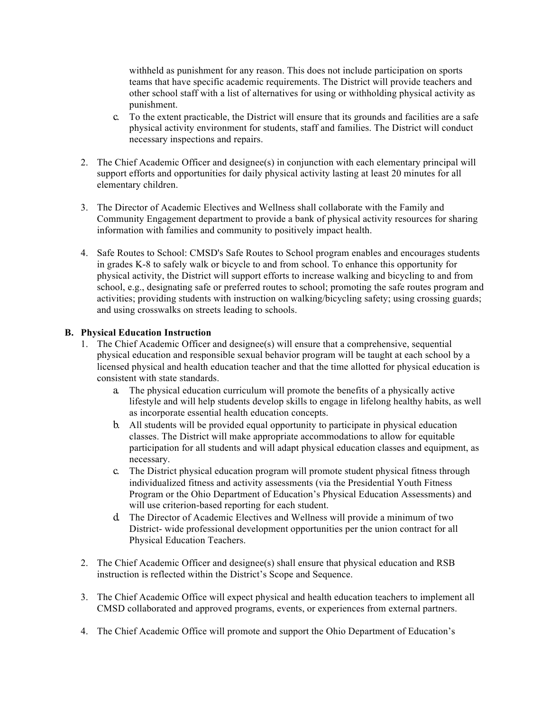withheld as punishment for any reason. This does not include participation on sports other school staff with a list of alternatives for using or withholding physical activity as teams that have specific academic requirements. The District will provide teachers and punishment.

- c. To the extent practicable, the District will ensure that its grounds and facilities are a safe physical activity environment for students, staff and families. The District will conduct necessary inspections and repairs.
- 2. The Chief Academic Officer and designee(s) in conjunction with each elementary principal will support efforts and opportunities for daily physical activity lasting at least 20 minutes for all elementary children.
- 3. The Director of Academic Electives and Wellness shall collaborate with the Family and Community Engagement department to provide a bank of physical activity resources for sharing information with families and community to positively impact health.
- 4. Safe Routes to School: CMSD's Safe Routes to School program enables and encourages students in grades K-8 to safely walk or bicycle to and from school. To enhance this opportunity for physical activity, the District will support efforts to increase walking and bicycling to and from school, e.g., designating safe or preferred routes to school; promoting the safe routes program and activities; providing students with instruction on walking/bicycling safety; using crossing guards; and using crosswalks on streets leading to schools.

### **B. Physical Education Instruction**

- 1. The Chief Academic Officer and designee(s) will ensure that a comprehensive, sequential physical education and responsible sexual behavior program will be taught at each school by a licensed physical and health education teacher and that the time allotted for physical education is consistent with state standards.
	- a. The physical education curriculum will promote the benefits of a physically active as incorporate essential health education concepts. lifestyle and will help students develop skills to engage in lifelong healthy habits, as well
	- b. All students will be provided equal opportunity to participate in physical education classes. The District will make appropriate accommodations to allow for equitable participation for all students and will adapt physical education classes and equipment, as necessary.
	- c. The District physical education program will promote student physical fitness through Program or the Ohio Department of Education's Physical Education Assessments) and will use criterion-based reporting for each student. individualized fitness and activity assessments (via the Presidential Youth Fitness
	- d. The Director of Academic Electives and Wellness will provide a minimum of two District- wide professional development opportunities per the union contract for all Physical Education Teachers.
- 2. The Chief Academic Officer and designee(s) shall ensure that physical education and RSB instruction is reflected within the District's Scope and Sequence.
- 3. The Chief Academic Office will expect physical and health education teachers to implement all CMSD collaborated and approved programs, events, or experiences from external partners.
- 4. The Chief Academic Office will promote and support the Ohio Department of Education's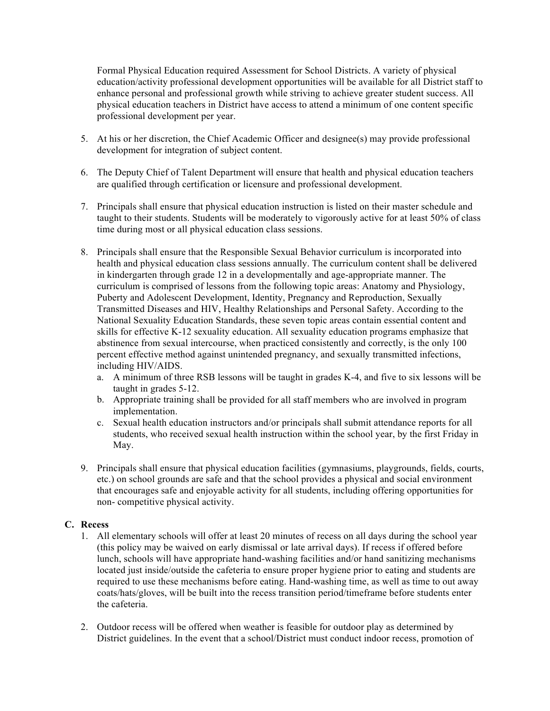Formal Physical Education required Assessment for School Districts. A variety of physical education/activity professional development opportunities will be available for all District staff to enhance personal and professional growth while striving to achieve greater student success. All physical education teachers in District have access to attend a minimum of one content specific professional development per year.

- 5. At his or her discretion, the Chief Academic Officer and designee(s) may provide professional development for integration of subject content.
- 6. The Deputy Chief of Talent Department will ensure that health and physical education teachers are qualified through certification or licensure and professional development.
- 7. Principals shall ensure that physical education instruction is listed on their master schedule and taught to their students. Students will be moderately to vigorously active for at least 50% of class time during most or all physical education class sessions.
- 8. Principals shall ensure that the Responsible Sexual Behavior curriculum is incorporated into health and physical education class sessions annually. The curriculum content shall be delivered curriculum is comprised of lessons from the following topic areas: Anatomy and Physiology, Puberty and Adolescent Development, Identity, Pregnancy and Reproduction, Sexually Transmitted Diseases and HIV, Healthy Relationships and Personal Safety. According to the National Sexuality Education Standards, these seven topic areas contain essential content and skills for effective K-12 sexuality education. All sexuality education programs emphasize that abstinence from sexual intercourse, when practiced consistently and correctly, is the only 100 percent effective method against unintended pregnancy, and sexually transmitted infections, in kindergarten through grade 12 in a developmentally and age-appropriate manner. The including HIV/AIDS.
	- a. A minimum of three RSB lessons will be taught in grades K-4, and five to six lessons will be taught in grades 5-12.
	- b. Appropriate training shall be provided for all staff members who are involved in program implementation.
	- c. Sexual health education instructors and/or principals shall submit attendance reports for all students, who received sexual health instruction within the school year, by the first Friday in May.
- 9. Principals shall ensure that physical education facilities (gymnasiums, playgrounds, fields, courts, etc.) on school grounds are safe and that the school provides a physical and social environment that encourages safe and enjoyable activity for all students, including offering opportunities for non- competitive physical activity.

## **C. Recess**

- 1. All elementary schools will offer at least 20 minutes of recess on all days during the school year (this policy may be waived on early dismissal or late arrival days). If recess if offered before lunch, schools will have appropriate hand-washing facilities and/or hand sanitizing mechanisms required to use these mechanisms before eating. Hand-washing time, as well as time to out away coats/hats/gloves, will be built into the recess transition period/timeframe before students enter located just inside/outside the cafeteria to ensure proper hygiene prior to eating and students are the cafeteria.
- 2. Outdoor recess will be offered when weather is feasible for outdoor play as determined by District guidelines. In the event that a school/District must conduct indoor recess, promotion of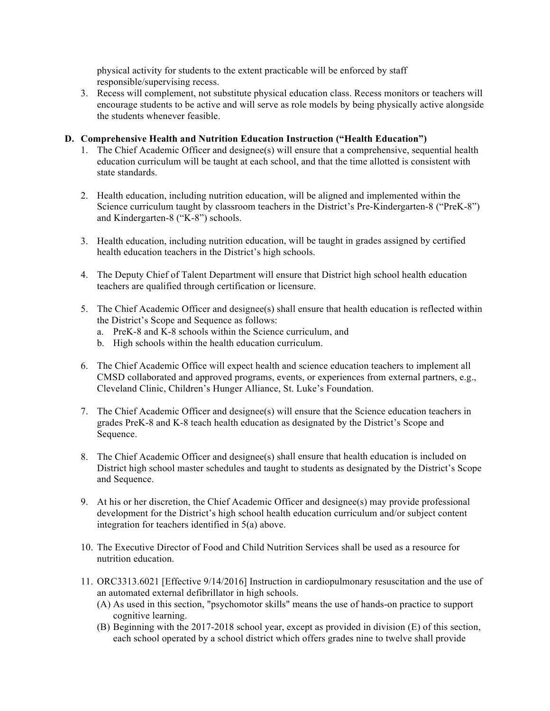physical activity for students to the extent practicable will be enforced by staff responsible/supervising recess.

 encourage students to be active and will serve as role models by being physically active alongside 3. Recess will complement, not substitute physical education class. Recess monitors or teachers will the students whenever feasible.

#### **D. Comprehensive Health and Nutrition Education Instruction ("Health Education")**

- 1. The Chief Academic Officer and designee(s) will ensure that a comprehensive, sequential health education curriculum will be taught at each school, and that the time allotted is consistent with state standards.
- 2. Health education, including nutrition education, will be aligned and implemented within the Science curriculum taught by classroom teachers in the District's Pre-Kindergarten-8 ("PreK-8") and Kindergarten-8 ("K-8") schools.
- 3. Health education, including nutrition education, will be taught in grades assigned by certified health education teachers in the District's high schools.
- 4. The Deputy Chief of Talent Department will ensure that District high school health education teachers are qualified through certification or licensure.
- 5. The Chief Academic Officer and designee(s) shall ensure that health education is reflected within the District's Scope and Sequence as follows:
	- a. PreK-8 and K-8 schools within the Science curriculum, and
	- b. High schools within the health education curriculum.
- 6. The Chief Academic Office will expect health and science education teachers to implement all CMSD collaborated and approved programs, events, or experiences from external partners, e.g., Cleveland Clinic, Children's Hunger Alliance, St. Luke's Foundation.
- 7. The Chief Academic Officer and designee(s) will ensure that the Science education teachers in grades PreK-8 and K-8 teach health education as designated by the District's Scope and Sequence.
- 8. The Chief Academic Officer and designee(s) shall ensure that health education is included on District high school master schedules and taught to students as designated by the District's Scope and Sequence.
- 9. At his or her discretion, the Chief Academic Officer and designee(s) may provide professional development for the District's high school health education curriculum and/or subject content integration for teachers identified in 5(a) above.
- 10. The Executive Director of Food and Child Nutrition Services shall be used as a resource for nutrition education.
- 11. ORC3313.6021 [Effective 9/14/2016] Instruction in cardiopulmonary resuscitation and the use of an automated external defibrillator in high schools.
	- (A) As used in this section, "psychomotor skills" means the use of hands-on practice to support cognitive learning.
	- (B) Beginning with the 2017-2018 school year, except as provided in division (E) of this section, each school operated by a school district which offers grades nine to twelve shall provide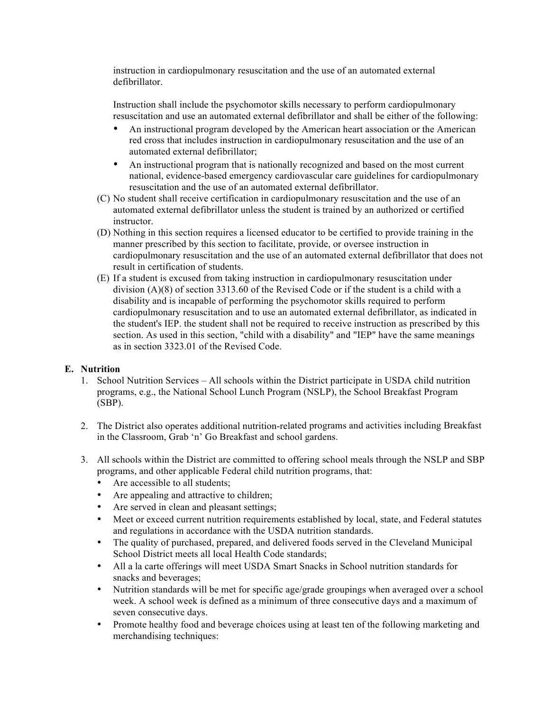instruction in cardiopulmonary resuscitation and the use of an automated external defibrillator.

 Instruction shall include the psychomotor skills necessary to perform cardiopulmonary resuscitation and use an automated external defibrillator and shall be either of the following:

- • An instructional program developed by the American heart association or the American red cross that includes instruction in cardiopulmonary resuscitation and the use of an automated external defibrillator;
- • An instructional program that is nationally recognized and based on the most current national, evidence-based emergency cardiovascular care guidelines for cardiopulmonary resuscitation and the use of an automated external defibrillator.
- (C) No student shall receive certification in cardiopulmonary resuscitation and the use of an automated external defibrillator unless the student is trained by an authorized or certified instructor.
- (D) Nothing in this section requires a licensed educator to be certified to provide training in the manner prescribed by this section to facilitate, provide, or oversee instruction in cardiopulmonary resuscitation and the use of an automated external defibrillator that does not result in certification of students.
- (E) If a student is excused from taking instruction in cardiopulmonary resuscitation under division (A)(8) of section 3313.60 of the Revised Code or if the student is a child with a disability and is incapable of performing the psychomotor skills required to perform cardiopulmonary resuscitation and to use an automated external defibrillator, as indicated in the student's IEP. the student shall not be required to receive instruction as prescribed by this section. As used in this section, "child with a disability" and "IEP" have the same meanings as in section 3323.01 of the Revised Code.

## **E. Nutrition**

- 1. School Nutrition Services All schools within the District participate in USDA child nutrition programs, e.g., the National School Lunch Program (NSLP), the School Breakfast Program (SBP).
- 2. The District also operates additional nutrition-related programs and activities including Breakfast in the Classroom, Grab 'n' Go Breakfast and school gardens.
- 3. All schools within the District are committed to offering school meals through the NSLP and SBP programs, and other applicable Federal child nutrition programs, that:
	- Are accessible to all students;
	- Are appealing and attractive to children;
	- Are served in clean and pleasant settings;
	- • Meet or exceed current nutrition requirements established by local, state, and Federal statutes and regulations in accordance with the USDA nutrition standards.
	- • The quality of purchased, prepared, and delivered foods served in the Cleveland Municipal School District meets all local Health Code standards;
	- • All a la carte offerings will meet USDA Smart Snacks in School nutrition standards for snacks and beverages;
	- • Nutrition standards will be met for specific age/grade groupings when averaged over a school week. A school week is defined as a minimum of three consecutive days and a maximum of seven consecutive days.
	- • Promote healthy food and beverage choices using at least ten of the following marketing and merchandising techniques: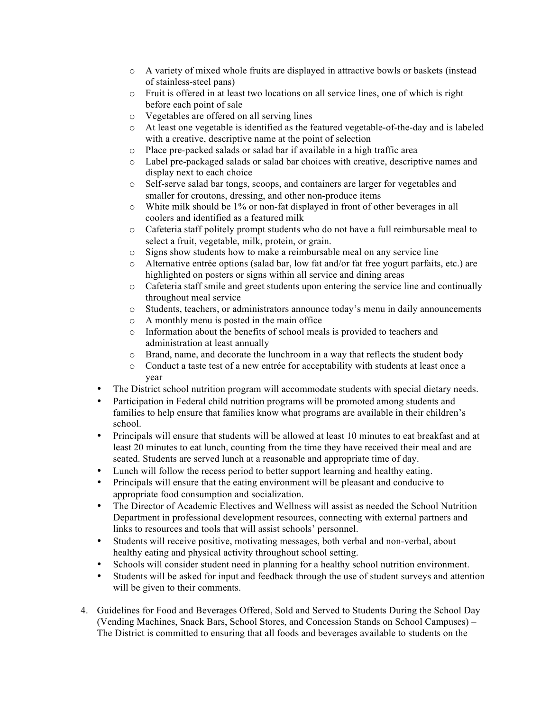- o A variety of mixed whole fruits are displayed in attractive bowls or baskets (instead of stainless-steel pans)
- o Fruit is offered in at least two locations on all service lines, one of which is right before each point of sale
- o Vegetables are offered on all serving lines
- o At least one vegetable is identified as the featured vegetable-of-the-day and is labeled with a creative, descriptive name at the point of selection
- o Place pre-packed salads or salad bar if available in a high traffic area
- o Label pre-packaged salads or salad bar choices with creative, descriptive names and display next to each choice
- o Self-serve salad bar tongs, scoops, and containers are larger for vegetables and smaller for croutons, dressing, and other non-produce items
- o White milk should be 1% or non-fat displayed in front of other beverages in all coolers and identified as a featured milk
- o Cafeteria staff politely prompt students who do not have a full reimbursable meal to select a fruit, vegetable, milk, protein, or grain.
- o Signs show students how to make a reimbursable meal on any service line
- o Alternative entrée options (salad bar, low fat and/or fat free yogurt parfaits, etc.) are highlighted on posters or signs within all service and dining areas
- o Cafeteria staff smile and greet students upon entering the service line and continually throughout meal service
- o Students, teachers, or administrators announce today's menu in daily announcements
- o A monthly menu is posted in the main office
- o Information about the benefits of school meals is provided to teachers and administration at least annually
- o Brand, name, and decorate the lunchroom in a way that reflects the student body
- o Conduct a taste test of a new entrée for acceptability with students at least once a year
- The District school nutrition program will accommodate students with special dietary needs.
- • Participation in Federal child nutrition programs will be promoted among students and families to help ensure that families know what programs are available in their children's school.
- • Principals will ensure that students will be allowed at least 10 minutes to eat breakfast and at seated. Students are served lunch at a reasonable and appropriate time of day. least 20 minutes to eat lunch, counting from the time they have received their meal and are
- Lunch will follow the recess period to better support learning and healthy eating.
- • Principals will ensure that the eating environment will be pleasant and conducive to appropriate food consumption and socialization.
- • The Director of Academic Electives and Wellness will assist as needed the School Nutrition Department in professional development resources, connecting with external partners and links to resources and tools that will assist schools' personnel.
- • Students will receive positive, motivating messages, both verbal and non-verbal, about healthy eating and physical activity throughout school setting.
- Schools will consider student need in planning for a healthy school nutrition environment.
- • Students will be asked for input and feedback through the use of student surveys and attention will be given to their comments.
- 4. Guidelines for Food and Beverages Offered, Sold and Served to Students During the School Day (Vending Machines, Snack Bars, School Stores, and Concession Stands on School Campuses) – The District is committed to ensuring that all foods and beverages available to students on the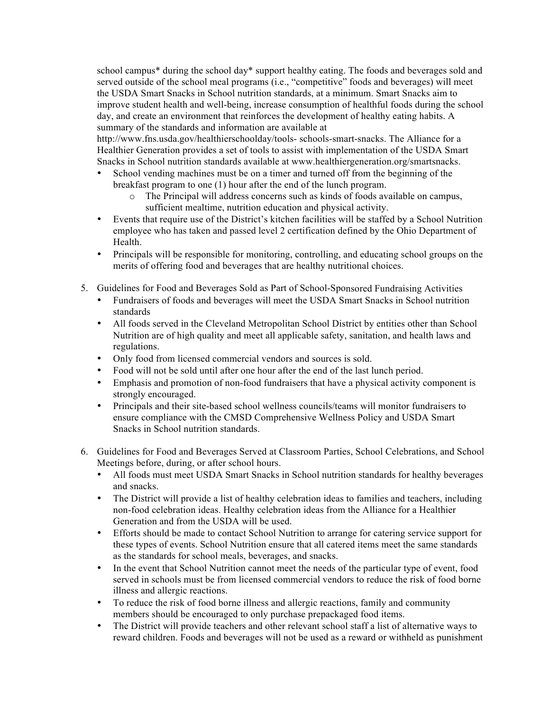school campus<sup>\*</sup> during the school day<sup>\*</sup> support healthy eating. The foods and beverages sold and served outside of the school meal programs (i.e., "competitive" foods and beverages) will meet improve student health and well-being, increase consumption of healthful foods during the school day, and create an environment that reinforces the development of healthy eating habits. A summary of the standards and information are available at the USDA Smart Snacks in School nutrition standards, at a minimum. Smart Snacks aim to

 http://www.fns.usda.gov/healthierschoolday/tools- schools-smart-snacks. The Alliance for a Healthier Generation provides a set of tools to assist with implementation of the USDA Smart Snacks in School nutrition standards available at www.healthiergeneration.org/smartsnacks.

- • School vending machines must be on a timer and turned off from the beginning of the breakfast program to one (1) hour after the end of the lunch program.
	- o The Principal will address concerns such as kinds of foods available on campus, sufficient mealtime, nutrition education and physical activity.
- • Events that require use of the District's kitchen facilities will be staffed by a School Nutrition employee who has taken and passed level 2 certification defined by the Ohio Department of Health.
- • Principals will be responsible for monitoring, controlling, and educating school groups on the merits of offering food and beverages that are healthy nutritional choices.
- 5. Guidelines for Food and Beverages Sold as Part of School-Sponsored Fundraising Activities
	- • Fundraisers of foods and beverages will meet the USDA Smart Snacks in School nutrition standards
	- • All foods served in the Cleveland Metropolitan School District by entities other than School Nutrition are of high quality and meet all applicable safety, sanitation, and health laws and regulations.
	- Only food from licensed commercial vendors and sources is sold.
	- Food will not be sold until after one hour after the end of the last lunch period.
	- • Emphasis and promotion of non-food fundraisers that have a physical activity component is strongly encouraged.
	- • Principals and their site-based school wellness councils/teams will monitor fundraisers to ensure compliance with the CMSD Comprehensive Wellness Policy and USDA Smart Snacks in School nutrition standards.
- 6. Guidelines for Food and Beverages Served at Classroom Parties, School Celebrations, and School Meetings before, during, or after school hours.
	- • All foods must meet USDA Smart Snacks in School nutrition standards for healthy beverages and snacks.
	- • The District will provide a list of healthy celebration ideas to families and teachers, including non-food celebration ideas. Healthy celebration ideas from the Alliance for a Healthier Generation and from the USDA will be used.
	- • Efforts should be made to contact School Nutrition to arrange for catering service support for these types of events. School Nutrition ensure that all catered items meet the same standards as the standards for school meals, beverages, and snacks.
	- • In the event that School Nutrition cannot meet the needs of the particular type of event, food served in schools must be from licensed commercial vendors to reduce the risk of food borne illness and allergic reactions.
	- • To reduce the risk of food borne illness and allergic reactions, family and community members should be encouraged to only purchase prepackaged food items.
	- • The District will provide teachers and other relevant school staff a list of alternative ways to reward children. Foods and beverages will not be used as a reward or withheld as punishment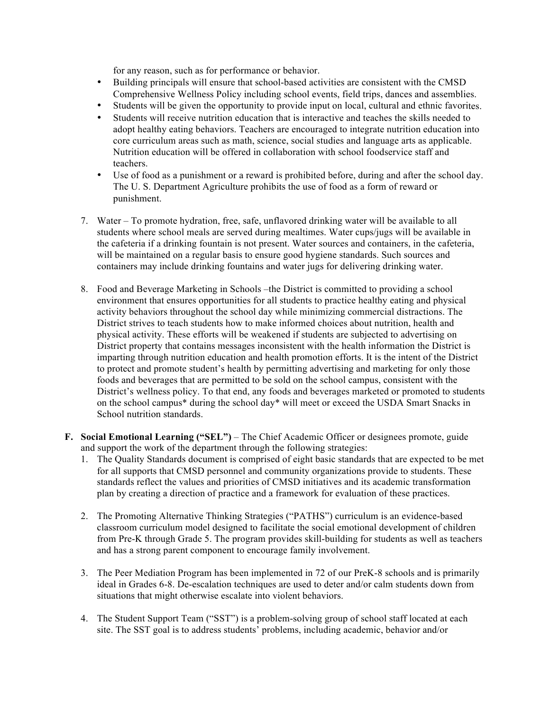for any reason, such as for performance or behavior.

- • Building principals will ensure that school-based activities are consistent with the CMSD Comprehensive Wellness Policy including school events, field trips, dances and assemblies.
- Students will be given the opportunity to provide input on local, cultural and ethnic favorites.
- • Students will receive nutrition education that is interactive and teaches the skills needed to adopt healthy eating behaviors. Teachers are encouraged to integrate nutrition education into core curriculum areas such as math, science, social studies and language arts as applicable. Nutrition education will be offered in collaboration with school foodservice staff and teachers.
- • Use of food as a punishment or a reward is prohibited before, during and after the school day. The U. S. Department Agriculture prohibits the use of food as a form of reward or punishment.
- 7. Water To promote hydration, free, safe, unflavored drinking water will be available to all students where school meals are served during mealtimes. Water cups/jugs will be available in the cafeteria if a drinking fountain is not present. Water sources and containers, in the cafeteria, will be maintained on a regular basis to ensure good hygiene standards. Such sources and containers may include drinking fountains and water jugs for delivering drinking water.
- 8. Food and Beverage Marketing in Schools –the District is committed to providing a school environment that ensures opportunities for all students to practice healthy eating and physical activity behaviors throughout the school day while minimizing commercial distractions. The District strives to teach students how to make informed choices about nutrition, health and physical activity. These efforts will be weakened if students are subjected to advertising on District property that contains messages inconsistent with the health information the District is to protect and promote student's health by permitting advertising and marketing for only those foods and beverages that are permitted to be sold on the school campus, consistent with the District's wellness policy. To that end, any foods and beverages marketed or promoted to students on the school campus\* during the school day\* will meet or exceed the USDA Smart Snacks in School nutrition standards. imparting through nutrition education and health promotion efforts. It is the intent of the District
- **F. Social Emotional Learning ("SEL")**  The Chief Academic Officer or designees promote, guide and support the work of the department through the following strategies:
	- 1. The Quality Standards document is comprised of eight basic standards that are expected to be met for all supports that CMSD personnel and community organizations provide to students. These standards reflect the values and priorities of CMSD initiatives and its academic transformation plan by creating a direction of practice and a framework for evaluation of these practices.
	- 2. The Promoting Alternative Thinking Strategies ("PATHS") curriculum is an evidence-based classroom curriculum model designed to facilitate the social emotional development of children from Pre-K through Grade 5. The program provides skill-building for students as well as teachers and has a strong parent component to encourage family involvement.
	- 3. The Peer Mediation Program has been implemented in 72 of our PreK-8 schools and is primarily ideal in Grades 6-8. De-escalation techniques are used to deter and/or calm students down from situations that might otherwise escalate into violent behaviors.
	- 4. The Student Support Team ("SST") is a problem-solving group of school staff located at each site. The SST goal is to address students' problems, including academic, behavior and/or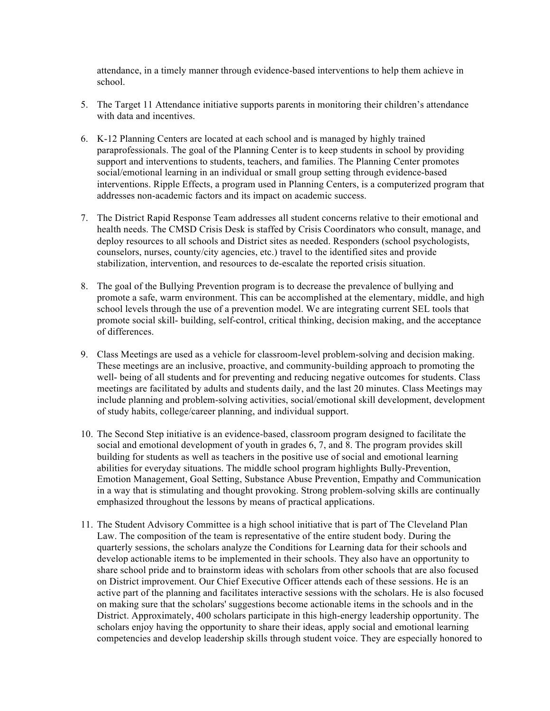attendance, in a timely manner through evidence-based interventions to help them achieve in school.

- 5. The Target 11 Attendance initiative supports parents in monitoring their children's attendance with data and incentives.
- 6. K-12 Planning Centers are located at each school and is managed by highly trained paraprofessionals. The goal of the Planning Center is to keep students in school by providing support and interventions to students, teachers, and families. The Planning Center promotes social/emotional learning in an individual or small group setting through evidence-based interventions. Ripple Effects, a program used in Planning Centers, is a computerized program that addresses non-academic factors and its impact on academic success.
- 7. The District Rapid Response Team addresses all student concerns relative to their emotional and health needs. The CMSD Crisis Desk is staffed by Crisis Coordinators who consult, manage, and deploy resources to all schools and District sites as needed. Responders (school psychologists, counselors, nurses, county/city agencies, etc.) travel to the identified sites and provide stabilization, intervention, and resources to de-escalate the reported crisis situation.
- 8. The goal of the Bullying Prevention program is to decrease the prevalence of bullying and promote a safe, warm environment. This can be accomplished at the elementary, middle, and high school levels through the use of a prevention model. We are integrating current SEL tools that promote social skill- building, self-control, critical thinking, decision making, and the acceptance of differences.
- 9. Class Meetings are used as a vehicle for classroom-level problem-solving and decision making. These meetings are an inclusive, proactive, and community-building approach to promoting the well- being of all students and for preventing and reducing negative outcomes for students. Class meetings are facilitated by adults and students daily, and the last 20 minutes. Class Meetings may include planning and problem-solving activities, social/emotional skill development, development of study habits, college/career planning, and individual support.
- 10. The Second Step initiative is an evidence-based, classroom program designed to facilitate the social and emotional development of youth in grades 6, 7, and 8. The program provides skill building for students as well as teachers in the positive use of social and emotional learning abilities for everyday situations. The middle school program highlights Bully-Prevention, Emotion Management, Goal Setting, Substance Abuse Prevention, Empathy and Communication in a way that is stimulating and thought provoking. Strong problem-solving skills are continually emphasized throughout the lessons by means of practical applications.
- 11. The Student Advisory Committee is a high school initiative that is part of The Cleveland Plan Law. The composition of the team is representative of the entire student body. During the quarterly sessions, the scholars analyze the Conditions for Learning data for their schools and develop actionable items to be implemented in their schools. They also have an opportunity to share school pride and to brainstorm ideas with scholars from other schools that are also focused on District improvement. Our Chief Executive Officer attends each of these sessions. He is an active part of the planning and facilitates interactive sessions with the scholars. He is also focused District. Approximately, 400 scholars participate in this high-energy leadership opportunity. The scholars enjoy having the opportunity to share their ideas, apply social and emotional learning competencies and develop leadership skills through student voice. They are especially honored to on making sure that the scholars' suggestions become actionable items in the schools and in the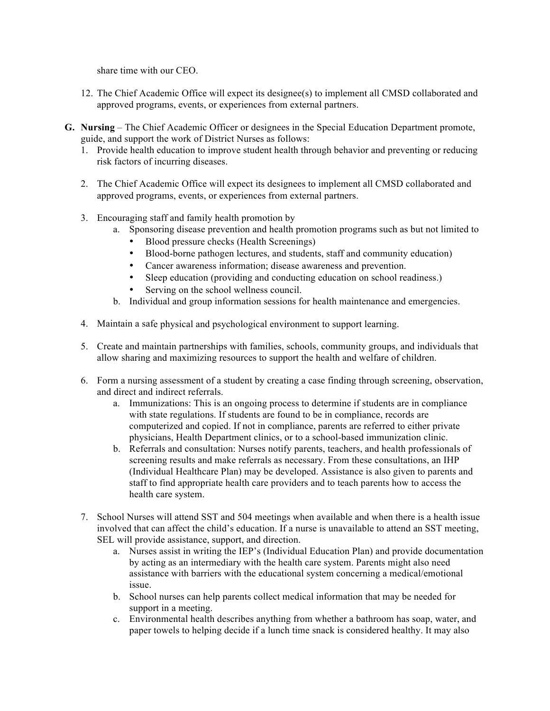share time with our CEO.

- 12. The Chief Academic Office will expect its designee(s) to implement all CMSD collaborated and approved programs, events, or experiences from external partners.
- **G. Nursing**  The Chief Academic Officer or designees in the Special Education Department promote, guide, and support the work of District Nurses as follows:
	- 1. Provide health education to improve student health through behavior and preventing or reducing risk factors of incurring diseases.
	- 2. The Chief Academic Office will expect its designees to implement all CMSD collaborated and approved programs, events, or experiences from external partners.
	- 3. Encouraging staff and family health promotion by
		- a. Sponsoring disease prevention and health promotion programs such as but not limited to
			- Blood pressure checks (Health Screenings)
			- Blood-borne pathogen lectures, and students, staff and community education)
			- Cancer awareness information; disease awareness and prevention.
			- Sleep education (providing and conducting education on school readiness.)
			- Serving on the school wellness council.
		- b. Individual and group information sessions for health maintenance and emergencies.
	- 4. Maintain a safe physical and psychological environment to support learning.
	- 5. Create and maintain partnerships with families, schools, community groups, and individuals that allow sharing and maximizing resources to support the health and welfare of children.
	- 6. Form a nursing assessment of a student by creating a case finding through screening, observation, and direct and indirect referrals.
		- a. Immunizations: This is an ongoing process to determine if students are in compliance with state regulations. If students are found to be in compliance, records are computerized and copied. If not in compliance, parents are referred to either private physicians, Health Department clinics, or to a school-based immunization clinic.
		- b. Referrals and consultation: Nurses notify parents, teachers, and health professionals of screening results and make referrals as necessary. From these consultations, an IHP (Individual Healthcare Plan) may be developed. Assistance is also given to parents and staff to find appropriate health care providers and to teach parents how to access the health care system.
	- 7. School Nurses will attend SST and 504 meetings when available and when there is a health issue involved that can affect the child's education. If a nurse is unavailable to attend an SST meeting, SEL will provide assistance, support, and direction.
		- a. Nurses assist in writing the IEP's (Individual Education Plan) and provide documentation by acting as an intermediary with the health care system. Parents might also need assistance with barriers with the educational system concerning a medical/emotional issue.
		- b. School nurses can help parents collect medical information that may be needed for support in a meeting.
		- c. Environmental health describes anything from whether a bathroom has soap, water, and paper towels to helping decide if a lunch time snack is considered healthy. It may also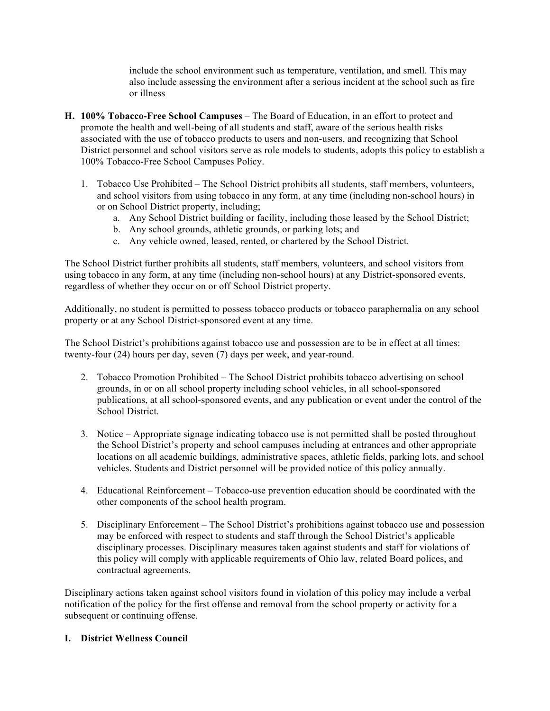also include assessing the environment after a serious incident at the school such as fire include the school environment such as temperature, ventilation, and smell. This may or illness

- **H. 100% Tobacco-Free School Campuses**  The Board of Education, in an effort to protect and promote the health and well-being of all students and staff, aware of the serious health risks associated with the use of tobacco products to users and non-users, and recognizing that School District personnel and school visitors serve as role models to students, adopts this policy to establish a 100% Tobacco-Free School Campuses Policy.
	- 1. Tobacco Use Prohibited The School District prohibits all students, staff members, volunteers, and school visitors from using tobacco in any form, at any time (including non-school hours) in or on School District property, including;
		- a. Any School District building or facility, including those leased by the School District;
		- b. Any school grounds, athletic grounds, or parking lots; and
		- c. Any vehicle owned, leased, rented, or chartered by the School District.

 The School District further prohibits all students, staff members, volunteers, and school visitors from using tobacco in any form, at any time (including non-school hours) at any District-sponsored events, regardless of whether they occur on or off School District property.

 Additionally, no student is permitted to possess tobacco products or tobacco paraphernalia on any school property or at any School District-sponsored event at any time.

 The School District's prohibitions against tobacco use and possession are to be in effect at all times: twenty-four (24) hours per day, seven (7) days per week, and year-round.

- 2. Tobacco Promotion Prohibited The School District prohibits tobacco advertising on school grounds, in or on all school property including school vehicles, in all school-sponsored publications, at all school-sponsored events, and any publication or event under the control of the School District.
- 3. Notice Appropriate signage indicating tobacco use is not permitted shall be posted throughout the School District's property and school campuses including at entrances and other appropriate locations on all academic buildings, administrative spaces, athletic fields, parking lots, and school vehicles. Students and District personnel will be provided notice of this policy annually.
- other components of the school health program. 4. Educational Reinforcement – Tobacco-use prevention education should be coordinated with the
- 5. Disciplinary Enforcement The School District's prohibitions against tobacco use and possession may be enforced with respect to students and staff through the School District's applicable disciplinary processes. Disciplinary measures taken against students and staff for violations of this policy will comply with applicable requirements of Ohio law, related Board polices, and contractual agreements.

 Disciplinary actions taken against school visitors found in violation of this policy may include a verbal notification of the policy for the first offense and removal from the school property or activity for a subsequent or continuing offense.

#### **I. District Wellness Council**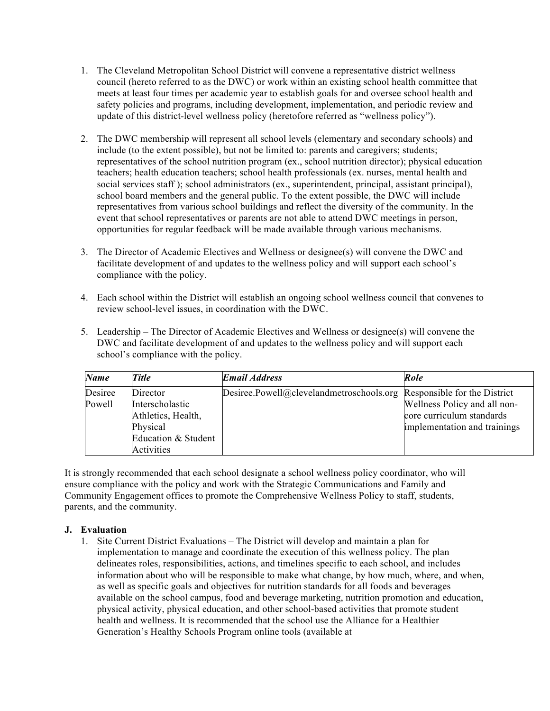- 1. The Cleveland Metropolitan School District will convene a representative district wellness council (hereto referred to as the DWC) or work within an existing school health committee that meets at least four times per academic year to establish goals for and oversee school health and safety policies and programs, including development, implementation, and periodic review and update of this district-level wellness policy (heretofore referred as "wellness policy").
- 2. The DWC membership will represent all school levels (elementary and secondary schools) and representatives of the school nutrition program (ex., school nutrition director); physical education teachers; health education teachers; school health professionals (ex. nurses, mental health and social services staff ); school administrators (ex., superintendent, principal, assistant principal), school board members and the general public. To the extent possible, the DWC will include representatives from various school buildings and reflect the diversity of the community. In the event that school representatives or parents are not able to attend DWC meetings in person, opportunities for regular feedback will be made available through various mechanisms. include (to the extent possible), but not be limited to: parents and caregivers; students;
- 3. The Director of Academic Electives and Wellness or designee(s) will convene the DWC and facilitate development of and updates to the wellness policy and will support each school's compliance with the policy.
- 4. Each school within the District will establish an ongoing school wellness council that convenes to review school-level issues, in coordination with the DWC.
- 5. Leadership The Director of Academic Electives and Wellness or designee(s) will convene the DWC and facilitate development of and updates to the wellness policy and will support each school's compliance with the policy.

| <b>Name</b>       | <b>Title</b>                                                  | <b>Email Address</b>                                                  | Role                                                                                      |
|-------------------|---------------------------------------------------------------|-----------------------------------------------------------------------|-------------------------------------------------------------------------------------------|
| Desiree<br>Powell | Director<br>Interscholastic<br>Athletics, Health,<br>Physical | Desiree.Powell@clevelandmetroschools.org Responsible for the District | Wellness Policy and all non-<br>core curriculum standards<br>implementation and trainings |
|                   | Education & Student<br>Activities                             |                                                                       |                                                                                           |

 It is strongly recommended that each school designate a school wellness policy coordinator, who will ensure compliance with the policy and work with the Strategic Communications and Family and Community Engagement offices to promote the Comprehensive Wellness Policy to staff, students, parents, and the community.

#### **J. Evaluation**

 1. Site Current District Evaluations – The District will develop and maintain a plan for delineates roles, responsibilities, actions, and timelines specific to each school, and includes information about who will be responsible to make what change, by how much, where, and when, as well as specific goals and objectives for nutrition standards for all foods and beverages available on the school campus, food and beverage marketing, nutrition promotion and education, physical activity, physical education, and other school-based activities that promote student health and wellness. It is recommended that the school use the Alliance for a Healthier Generation's Healthy Schools Program online tools (available at implementation to manage and coordinate the execution of this wellness policy. The plan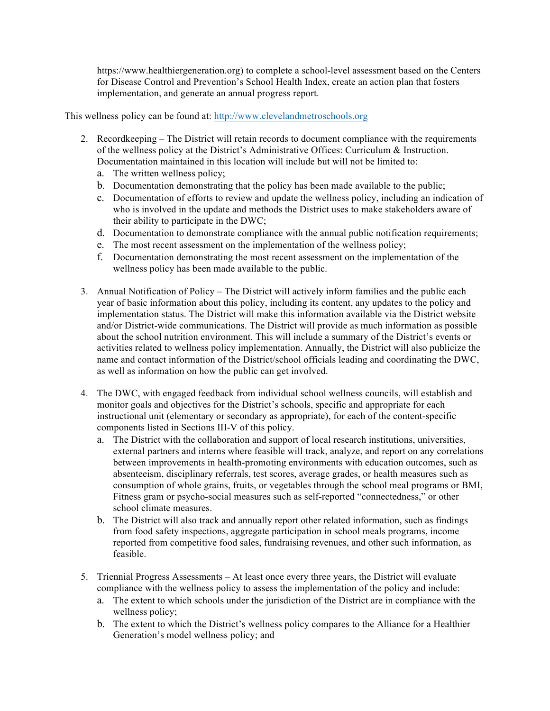https://www.healthiergeneration.org) to complete a school-level assessment based on the Centers for Disease Control and Prevention's School Health Index, create an action plan that fosters implementation, and generate an annual progress report.

This wellness policy can be found at: http://www.clevelandmetroschools.org

- 2. Recordkeeping The District will retain records to document compliance with the requirements of the wellness policy at the District's Administrative Offices: Curriculum & Instruction. Documentation maintained in this location will include but will not be limited to:
	- a. The written wellness policy;
	- b. Documentation demonstrating that the policy has been made available to the public;
	- c. Documentation of efforts to review and update the wellness policy, including an indication of who is involved in the update and methods the District uses to make stakeholders aware of their ability to participate in the DWC;
	- d. Documentation to demonstrate compliance with the annual public notification requirements;
	- e. The most recent assessment on the implementation of the wellness policy;
	- f. Documentation demonstrating the most recent assessment on the implementation of the wellness policy has been made available to the public.
- 3. Annual Notification of Policy The District will actively inform families and the public each year of basic information about this policy, including its content, any updates to the policy and implementation status. The District will make this information available via the District website and/or District-wide communications. The District will provide as much information as possible about the school nutrition environment. This will include a summary of the District's events or activities related to wellness policy implementation. Annually, the District will also publicize the name and contact information of the District/school officials leading and coordinating the DWC, as well as information on how the public can get involved.
- 4. The DWC, with engaged feedback from individual school wellness councils, will establish and monitor goals and objectives for the District's schools, specific and appropriate for each components listed in Sections III-V of this policy. instructional unit (elementary or secondary as appropriate), for each of the content-specific
	- a. The District with the collaboration and support of local research institutions, universities, external partners and interns where feasible will track, analyze, and report on any correlations between improvements in health-promoting environments with education outcomes, such as absenteeism, disciplinary referrals, test scores, average grades, or health measures such as consumption of whole grains, fruits, or vegetables through the school meal programs or BMI, school climate measures. Fitness gram or psycho-social measures such as self-reported "connectedness," or other
	- b. The District will also track and annually report other related information, such as findings from food safety inspections, aggregate participation in school meals programs, income reported from competitive food sales, fundraising revenues, and other such information, as feasible.
- 5. Triennial Progress Assessments At least once every three years, the District will evaluate compliance with the wellness policy to assess the implementation of the policy and include:
	- a. The extent to which schools under the jurisdiction of the District are in compliance with the wellness policy;
	- b. The extent to which the District's wellness policy compares to the Alliance for a Healthier Generation's model wellness policy; and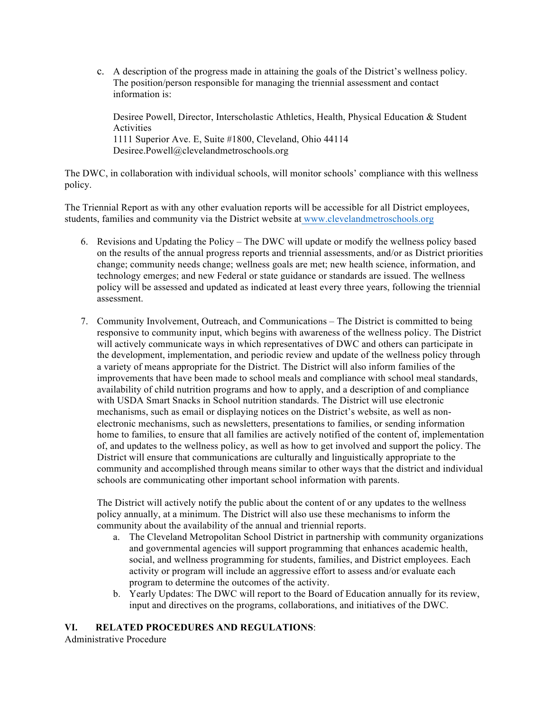c. A description of the progress made in attaining the goals of the District's wellness policy. The position/person responsible for managing the triennial assessment and contact information is:

 Desiree Powell, Director, Interscholastic Athletics, Health, Physical Education & Student Activities Activities<br>1111 Superior Ave. E, Suite #1800, Cleveland, Ohio 44114 Desiree.Powell@clevelandmetroschools.org

 The DWC, in collaboration with individual schools, will monitor schools' compliance with this wellness policy.

 The Triennial Report as with any other evaluation reports will be accessible for all District employees, students, families and community via the District website at www.clevelandmetroschools.org

- 6. Revisions and Updating the Policy The DWC will update or modify the wellness policy based on the results of the annual progress reports and triennial assessments, and/or as District priorities change; community needs change; wellness goals are met; new health science, information, and policy will be assessed and updated as indicated at least every three years, following the triennial technology emerges; and new Federal or state guidance or standards are issued. The wellness assessment.
- 7. Community Involvement, Outreach, and Communications The District is committed to being responsive to community input, which begins with awareness of the wellness policy. The District will actively communicate ways in which representatives of DWC and others can participate in a variety of means appropriate for the District. The District will also inform families of the improvements that have been made to school meals and compliance with school meal standards, availability of child nutrition programs and how to apply, and a description of and compliance with USDA Smart Snacks in School nutrition standards. The District will use electronic mechanisms, such as email or displaying notices on the District's website, as well as non- electronic mechanisms, such as newsletters, presentations to families, or sending information home to families, to ensure that all families are actively notified of the content of, implementation of, and updates to the wellness policy, as well as how to get involved and support the policy. The District will ensure that communications are culturally and linguistically appropriate to the community and accomplished through means similar to other ways that the district and individual schools are communicating other important school information with parents. the development, implementation, and periodic review and update of the wellness policy through

 The District will actively notify the public about the content of or any updates to the wellness policy annually, at a minimum. The District will also use these mechanisms to inform the community about the availability of the annual and triennial reports.

- a. The Cleveland Metropolitan School District in partnership with community organizations and governmental agencies will support programming that enhances academic health, social, and wellness programming for students, families, and District employees. Each activity or program will include an aggressive effort to assess and/or evaluate each program to determine the outcomes of the activity.
- b. Yearly Updates: The DWC will report to the Board of Education annually for its review, input and directives on the programs, collaborations, and initiatives of the DWC.

### **VI. RELATED PROCEDURES AND REGULATIONS**:

Administrative Procedure